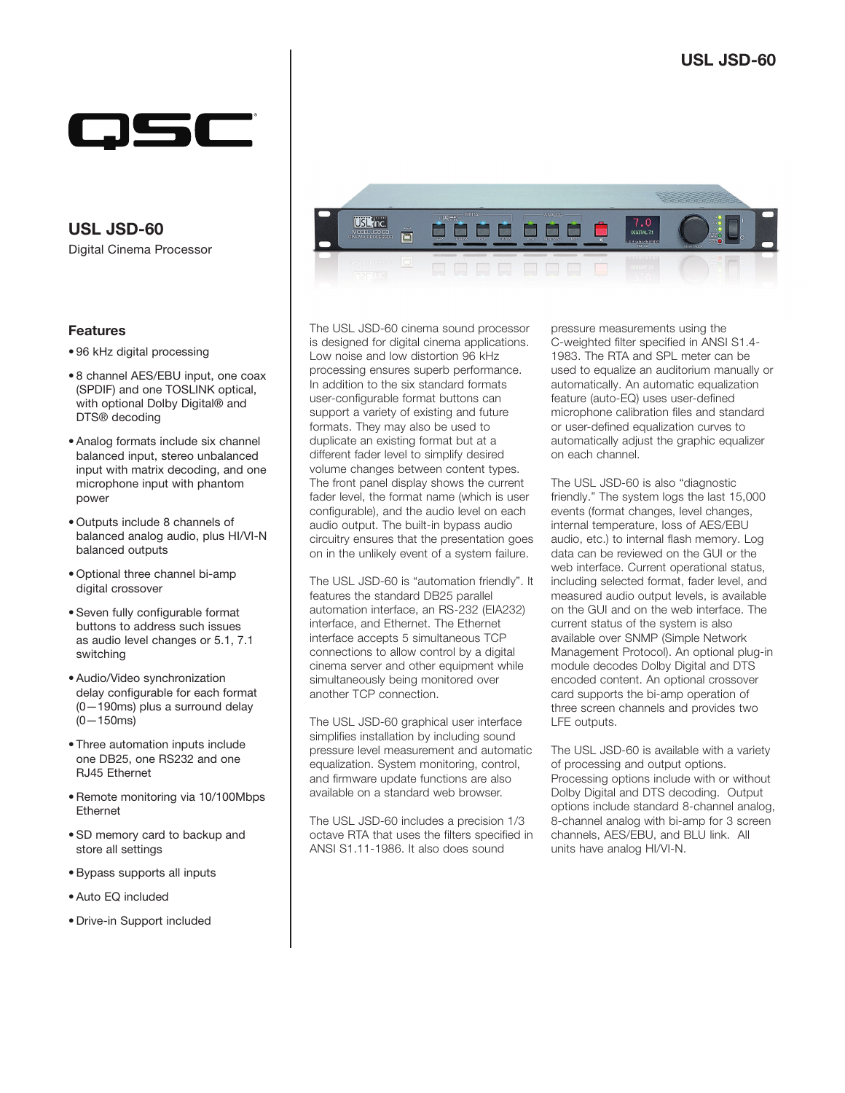

Digital Cinema Processor **USL JSD-60**

## Features

- 96 kHz digital processing
- 8 channel AES/EBU input, one coax (SPDIF) and one TOSLINK optical, with optional Dolby Digital® and DTS® decoding
- Analog formats include six channel balanced input, stereo unbalanced input with matrix decoding, and one microphone input with phantom power
- Outputs include 8 channels of balanced analog audio, plus HI/VI-N balanced outputs
- Optional three channel bi-amp digital crossover
- Seven fully configurable format buttons to address such issues as audio level changes or 5.1, 7.1 switching
- Audio/Video synchronization delay configurable for each format (0—190ms) plus a surround delay  $(0 - 150$ ms)
- Three automation inputs include one DB25, one RS232 and one RJ45 Ethernet
- Remote monitoring via 10/100Mbps Ethernet
- SD memory card to backup and store all settings
- Bypass supports all inputs
- Auto EQ included
- Drive-in Support included



The USL JSD-60 cinema sound processor is designed for digital cinema applications. Low noise and low distortion 96 kHz processing ensures superb performance. In addition to the six standard formats user-configurable format buttons can support a variety of existing and future formats. They may also be used to duplicate an existing format but at a different fader level to simplify desired volume changes between content types. The front panel display shows the current fader level, the format name (which is user configurable), and the audio level on each audio output. The built-in bypass audio circuitry ensures that the presentation goes on in the unlikely event of a system failure.

The USL JSD-60 is "automation friendly". It features the standard DB25 parallel automation interface, an RS-232 (EIA232) interface, and Ethernet. The Ethernet interface accepts 5 simultaneous TCP connections to allow control by a digital cinema server and other equipment while simultaneously being monitored over another TCP connection.

The USL JSD-60 graphical user interface simplifies installation by including sound pressure level measurement and automatic equalization. System monitoring, control, and firmware update functions are also available on a standard web browser.

The USL JSD-60 includes a precision 1/3 octave RTA that uses the filters specified in ANSI S1.11-1986. It also does sound

pressure measurements using the C-weighted filter specified in ANSI S1.4- 1983. The RTA and SPL meter can be used to equalize an auditorium manually or automatically. An automatic equalization feature (auto-EQ) uses user-defined microphone calibration files and standard or user-defined equalization curves to automatically adjust the graphic equalizer on each channel.

The USL JSD-60 is also "diagnostic friendly." The system logs the last 15,000 events (format changes, level changes, internal temperature, loss of AES/EBU audio, etc.) to internal flash memory. Log data can be reviewed on the GUI or the web interface. Current operational status, including selected format, fader level, and measured audio output levels, is available on the GUI and on the web interface. The current status of the system is also available over SNMP (Simple Network Management Protocol). An optional plug-in module decodes Dolby Digital and DTS encoded content. An optional crossover card supports the bi-amp operation of three screen channels and provides two LFE outputs.

The USL JSD-60 is available with a variety of processing and output options. Processing options include with or without Dolby Digital and DTS decoding. Output options include standard 8-channel analog, 8-channel analog with bi-amp for 3 screen channels, AES/EBU, and BLU link. All units have analog HI/VI-N.